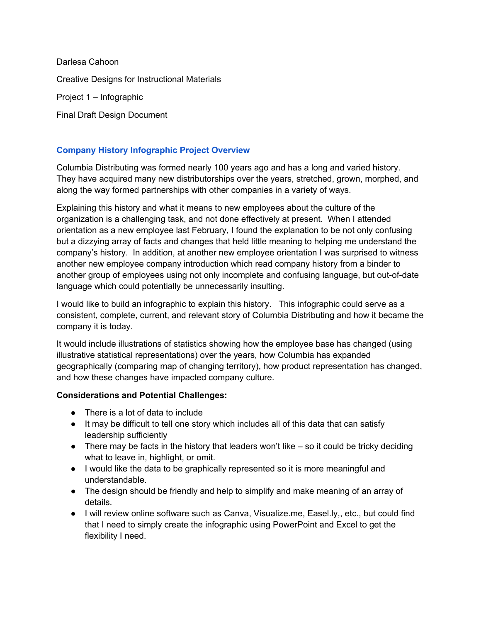Darlesa Cahoon Creative Designs for Instructional Materials Project 1 – Infographic Final Draft Design Document

# **Company History Infographic Project Overview**

Columbia Distributing was formed nearly 100 years ago and has a long and varied history. They have acquired many new distributorships over the years, stretched, grown, morphed, and along the way formed partnerships with other companies in a variety of ways.

Explaining this history and what it means to new employees about the culture of the organization is a challenging task, and not done effectively at present. When I attended orientation as a new employee last February, I found the explanation to be not only confusing but a dizzying array of facts and changes that held little meaning to helping me understand the company's history. In addition, at another new employee orientation I was surprised to witness another new employee company introduction which read company history from a binder to another group of employees using not only incomplete and confusing language, but out-of-date language which could potentially be unnecessarily insulting.

I would like to build an infographic to explain this history. This infographic could serve as a consistent, complete, current, and relevant story of Columbia Distributing and how it became the company it is today.

It would include illustrations of statistics showing how the employee base has changed (using illustrative statistical representations) over the years, how Columbia has expanded geographically (comparing map of changing territory), how product representation has changed, and how these changes have impacted company culture.

## **Considerations and Potential Challenges:**

- There is a lot of data to include
- It may be difficult to tell one story which includes all of this data that can satisfy leadership sufficiently
- $\bullet$  There may be facts in the history that leaders won't like so it could be tricky deciding what to leave in, highlight, or omit.
- I would like the data to be graphically represented so it is more meaningful and understandable.
- The design should be friendly and help to simplify and make meaning of an array of details.
- I will review online software such as Canva, Visualize.me, Easel.ly,, etc., but could find that I need to simply create the infographic using PowerPoint and Excel to get the flexibility I need.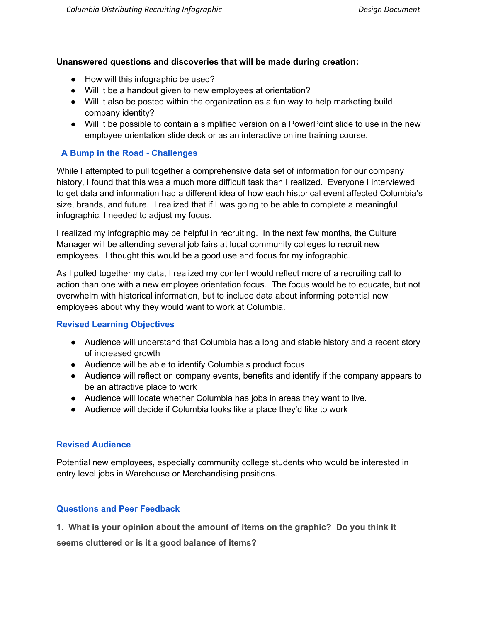### **Unanswered questions and discoveries that will be made during creation:**

- How will this infographic be used?
- Will it be a handout given to new employees at orientation?
- Will it also be posted within the organization as a fun way to help marketing build company identity?
- Will it be possible to contain a simplified version on a PowerPoint slide to use in the new employee orientation slide deck or as an interactive online training course.

## **A Bump in the Road - Challenges**

While I attempted to pull together a comprehensive data set of information for our company history, I found that this was a much more difficult task than I realized. Everyone I interviewed to get data and information had a different idea of how each historical event affected Columbia's size, brands, and future. I realized that if I was going to be able to complete a meaningful infographic, I needed to adjust my focus.

I realized my infographic may be helpful in recruiting. In the next few months, the Culture Manager will be attending several job fairs at local community colleges to recruit new employees. I thought this would be a good use and focus for my infographic.

As I pulled together my data, I realized my content would reflect more of a recruiting call to action than one with a new employee orientation focus. The focus would be to educate, but not overwhelm with historical information, but to include data about informing potential new employees about why they would want to work at Columbia.

## **Revised Learning Objectives**

- Audience will understand that Columbia has a long and stable history and a recent story of increased growth
- Audience will be able to identify Columbia's product focus
- Audience will reflect on company events, benefits and identify if the company appears to be an attractive place to work
- Audience will locate whether Columbia has jobs in areas they want to live.
- Audience will decide if Columbia looks like a place they'd like to work

## **Revised Audience**

Potential new employees, especially community college students who would be interested in entry level jobs in Warehouse or Merchandising positions.

## **Questions and Peer Feedback**

**1. What is your opinion about the amount of items on the graphic? Do you think it**

**seems cluttered or is it a good balance of items?**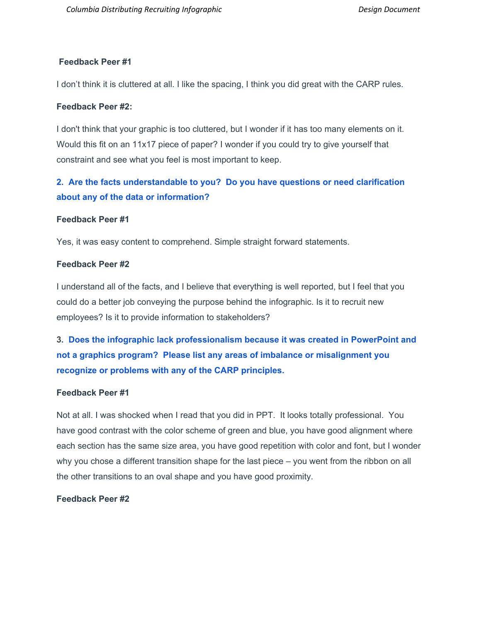## **Feedback Peer #1**

I don't think it is cluttered at all. I like the spacing, I think you did great with the CARP rules.

### **Feedback Peer #2:**

I don't think that your graphic is too cluttered, but I wonder if it has too many elements on it. Would this fit on an 11x17 piece of paper? I wonder if you could try to give yourself that constraint and see what you feel is most important to keep.

# **2. Are the facts understandable to you? Do you have questions or need clarification about any of the data or information?**

### **Feedback Peer #1**

Yes, it was easy content to comprehend. Simple straight forward statements.

### **Feedback Peer #2**

I understand all of the facts, and I believe that everything is well reported, but I feel that you could do a better job conveying the purpose behind the infographic. Is it to recruit new employees? Is it to provide information to stakeholders?

**3. Does the infographic lack professionalism because it was created in PowerPoint and not a graphics program? Please list any areas of imbalance or misalignment you recognize or problems with any of the CARP principles.**

## **Feedback Peer #1**

Not at all. I was shocked when I read that you did in PPT. It looks totally professional. You have good contrast with the color scheme of green and blue, you have good alignment where each section has the same size area, you have good repetition with color and font, but I wonder why you chose a different transition shape for the last piece – you went from the ribbon on all the other transitions to an oval shape and you have good proximity.

## **Feedback Peer #2**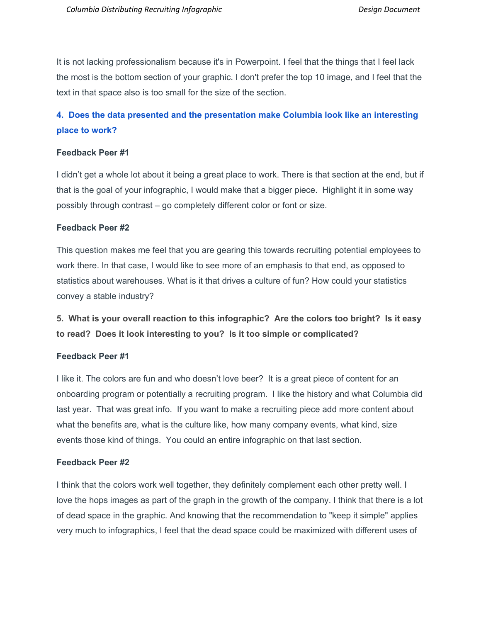It is not lacking professionalism because it's in Powerpoint. I feel that the things that I feel lack the most is the bottom section of your graphic. I don't prefer the top 10 image, and I feel that the text in that space also is too small for the size of the section.

# **4. Does the data presented and the presentation make Columbia look like an interesting place to work?**

## **Feedback Peer #1**

I didn't get a whole lot about it being a great place to work. There is that section at the end, but if that is the goal of your infographic, I would make that a bigger piece. Highlight it in some way possibly through contrast – go completely different color or font or size.

#### **Feedback Peer #2**

This question makes me feel that you are gearing this towards recruiting potential employees to work there. In that case, I would like to see more of an emphasis to that end, as opposed to statistics about warehouses. What is it that drives a culture of fun? How could your statistics convey a stable industry?

**5. What is your overall reaction to this infographic? Are the colors too bright? Is it easy to read? Does it look interesting to you? Is it too simple or complicated?**

### **Feedback Peer #1**

I like it. The colors are fun and who doesn't love beer? It is a great piece of content for an onboarding program or potentially a recruiting program. I like the history and what Columbia did last year. That was great info. If you want to make a recruiting piece add more content about what the benefits are, what is the culture like, how many company events, what kind, size events those kind of things. You could an entire infographic on that last section.

### **Feedback Peer #2**

I think that the colors work well together, they definitely complement each other pretty well. I love the hops images as part of the graph in the growth of the company. I think that there is a lot of dead space in the graphic. And knowing that the recommendation to "keep it simple" applies very much to infographics, I feel that the dead space could be maximized with different uses of